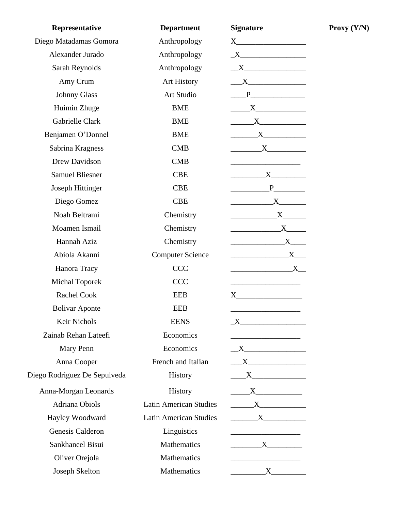| Representative               | <b>Department</b>             | <b>Signature</b>                                                                                                                                                                                                              |
|------------------------------|-------------------------------|-------------------------------------------------------------------------------------------------------------------------------------------------------------------------------------------------------------------------------|
| Diego Matadamas Gomora       | Anthropology                  |                                                                                                                                                                                                                               |
| Alexander Jurado             | Anthropology                  | $\begin{tabular}{c} $X$ \end{tabular}$                                                                                                                                                                                        |
| Sarah Reynolds               | Anthropology                  |                                                                                                                                                                                                                               |
| Amy Crum                     | Art History                   |                                                                                                                                                                                                                               |
| <b>Johnny Glass</b>          | Art Studio                    |                                                                                                                                                                                                                               |
| Huimin Zhuge                 | <b>BME</b>                    | X                                                                                                                                                                                                                             |
| Gabrielle Clark              | <b>BME</b>                    | $\begin{array}{c}\nX\n\end{array}$                                                                                                                                                                                            |
| Benjamen O'Donnel            | <b>BME</b>                    | $\mathbf{X}$                                                                                                                                                                                                                  |
| Sabrina Kragness             | CMB                           | $\mathbf{X}$                                                                                                                                                                                                                  |
| Drew Davidson                | CMB                           |                                                                                                                                                                                                                               |
| <b>Samuel Bliesner</b>       | <b>CBE</b>                    | $\overline{\text{X}}$                                                                                                                                                                                                         |
| <b>Joseph Hittinger</b>      | <b>CBE</b>                    | $P$ and $P$ and $P$ and $P$ and $P$ and $P$ and $P$ and $P$ and $P$ and $P$ and $P$ and $P$ and $P$ and $P$ and $P$ and $P$ and $P$ and $P$ and $P$ and $P$ and $P$ and $P$ and $P$ and $P$ and $P$ and $P$ and $P$ and $P$ a |
| Diego Gomez                  | <b>CBE</b>                    | $\begin{array}{c} \begin{array}{c} \text{---} \\ \text{---} \end{array} \\ \begin{array}{c} \text{X} \end{array} \\ \begin{array}{c} \text{---} \end{array} \end{array}$                                                      |
| Noah Beltrami                | Chemistry                     | $\mathbf{X}$                                                                                                                                                                                                                  |
| Moamen Ismail                | Chemistry                     | $\mathbf{X}$                                                                                                                                                                                                                  |
| Hannah Aziz                  | Chemistry                     | $X$ <sub>___</sub>                                                                                                                                                                                                            |
| Abiola Akanni                | <b>Computer Science</b>       | $\overbrace{\text{X}}$                                                                                                                                                                                                        |
| Hanora Tracy                 | <b>CCC</b>                    | $X_{-}$                                                                                                                                                                                                                       |
| <b>Michal Toporek</b>        | <b>CCC</b>                    |                                                                                                                                                                                                                               |
| <b>Rachel Cook</b>           | <b>EEB</b>                    | $X \longrightarrow$                                                                                                                                                                                                           |
| <b>Bolivar Aponte</b>        | <b>EEB</b>                    |                                                                                                                                                                                                                               |
| Keir Nichols                 | <b>EENS</b>                   |                                                                                                                                                                                                                               |
| Zainab Rehan Lateefi         | Economics                     |                                                                                                                                                                                                                               |
| Mary Penn                    | Economics                     |                                                                                                                                                                                                                               |
| Anna Cooper                  | French and Italian            | $\mathbf{X}$                                                                                                                                                                                                                  |
| Diego Rodriguez De Sepulveda | History                       |                                                                                                                                                                                                                               |
| Anna-Morgan Leonards         | History                       |                                                                                                                                                                                                                               |
| Adriana Obiols               | <b>Latin American Studies</b> |                                                                                                                                                                                                                               |
| Hayley Woodward              | <b>Latin American Studies</b> | $\begin{array}{c}\nX\n\end{array}$                                                                                                                                                                                            |
| Genesis Calderon             | Linguistics                   | <u> 1980 - Johann Barbara, martin di</u>                                                                                                                                                                                      |
| Sankhaneel Bisui             | Mathematics                   |                                                                                                                                                                                                                               |
| Oliver Orejola               | Mathematics                   |                                                                                                                                                                                                                               |
| Joseph Skelton               | Mathematics                   | $\overline{\begin{array}{ccc} & \quad & X \end{array}}$                                                                                                                                                                       |

**Proxy (Y/N)**